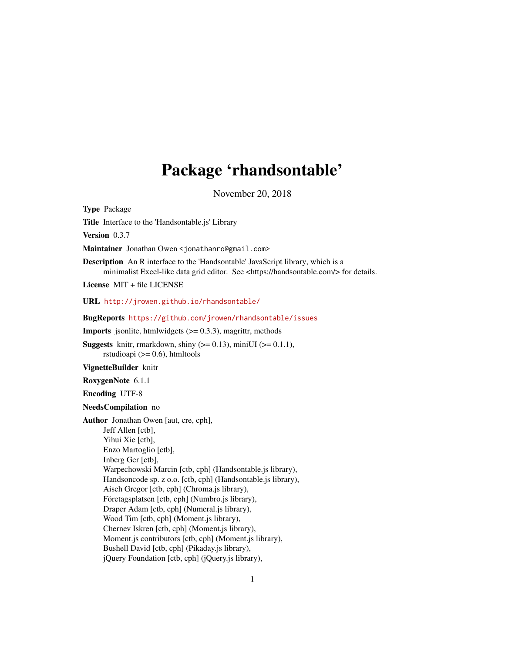## Package 'rhandsontable'

November 20, 2018

<span id="page-0-0"></span>Type Package

Title Interface to the 'Handsontable.js' Library

Version 0.3.7

Maintainer Jonathan Owen <jonathanro@gmail.com>

Description An R interface to the 'Handsontable' JavaScript library, which is a minimalist Excel-like data grid editor. See <https://handsontable.com/> for details.

License MIT + file LICENSE

URL <http://jrowen.github.io/rhandsontable/>

BugReports <https://github.com/jrowen/rhandsontable/issues>

**Imports** jsonlite, htmlwidgets  $(>= 0.3.3)$ , magrittr, methods

**Suggests** knitr, rmarkdown, shiny  $(>= 0.13)$ , miniUI  $(>= 0.1.1)$ , rstudioapi  $(>= 0.6)$ , htmltools

VignetteBuilder knitr

RoxygenNote 6.1.1

Encoding UTF-8

NeedsCompilation no

Author Jonathan Owen [aut, cre, cph], Jeff Allen [ctb], Yihui Xie [ctb], Enzo Martoglio [ctb], Inberg Ger [ctb], Warpechowski Marcin [ctb, cph] (Handsontable.js library), Handsoncode sp. z o.o. [ctb, cph] (Handsontable.js library), Aisch Gregor [ctb, cph] (Chroma.js library), Företagsplatsen [ctb, cph] (Numbro.js library), Draper Adam [ctb, cph] (Numeral.js library), Wood Tim [ctb, cph] (Moment.js library), Chernev Iskren [ctb, cph] (Moment.js library), Moment.js contributors [ctb, cph] (Moment.js library), Bushell David [ctb, cph] (Pikaday.js library), jQuery Foundation [ctb, cph] (jQuery.js library),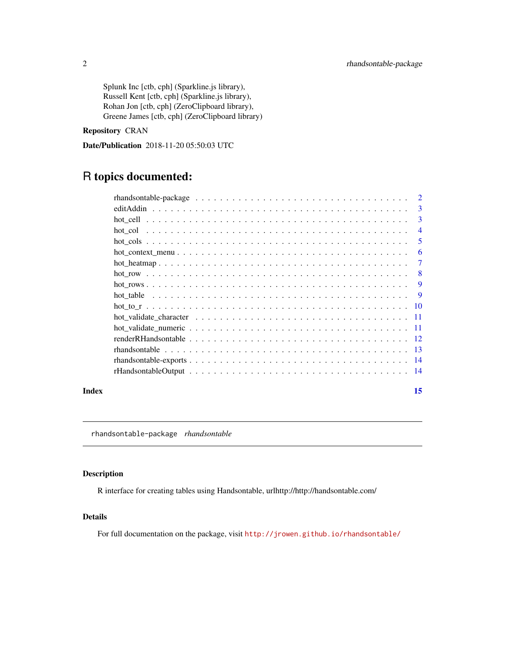<span id="page-1-0"></span>Splunk Inc [ctb, cph] (Sparkline.js library), Russell Kent [ctb, cph] (Sparkline.js library), Rohan Jon [ctb, cph] (ZeroClipboard library), Greene James [ctb, cph] (ZeroClipboard library)

## Repository CRAN

Date/Publication 2018-11-20 05:50:03 UTC

## R topics documented:

|                                                                                                                      | $\overline{2}$ |
|----------------------------------------------------------------------------------------------------------------------|----------------|
|                                                                                                                      | 3              |
|                                                                                                                      | 3              |
|                                                                                                                      | $\overline{4}$ |
|                                                                                                                      | 5              |
| $hot\_context\_menu \dots \dots \dots \dots \dots \dots \dots \dots \dots \dots \dots \dots \dots \dots \dots \dots$ | 6              |
|                                                                                                                      | 7              |
|                                                                                                                      | 8              |
|                                                                                                                      | 9              |
|                                                                                                                      | -9             |
|                                                                                                                      |                |
|                                                                                                                      |                |
|                                                                                                                      |                |
|                                                                                                                      |                |
|                                                                                                                      | -13            |
|                                                                                                                      | - 14           |
|                                                                                                                      |                |
|                                                                                                                      |                |

#### **Index** [15](#page-14-0)

rhandsontable-package *rhandsontable*

## Description

R interface for creating tables using Handsontable, urlhttp://http://handsontable.com/

## Details

For full documentation on the package, visit <http://jrowen.github.io/rhandsontable/>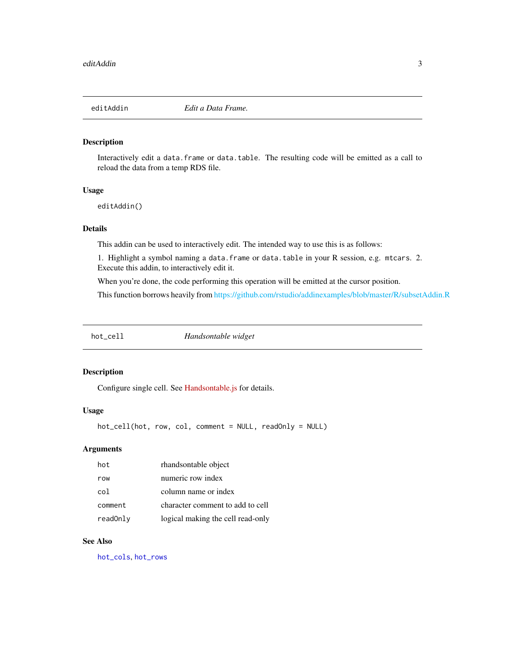<span id="page-2-0"></span>

#### Description

Interactively edit a data.frame or data.table. The resulting code will be emitted as a call to reload the data from a temp RDS file.

## Usage

editAddin()

#### Details

This addin can be used to interactively edit. The intended way to use this is as follows:

1. Highlight a symbol naming a data.frame or data.table in your R session, e.g. mtcars. 2. Execute this addin, to interactively edit it.

When you're done, the code performing this operation will be emitted at the cursor position.

This function borrows heavily from [https://github.com/rstudio/addinexamples/blob/master/R/subsetAddin.R](#page-0-0)

<span id="page-2-1"></span>hot\_cell *Handsontable widget*

## Description

Configure single cell. See [Handsontable.js](http://handsontable.com) for details.

#### Usage

```
hot_cell(hot, row, col, comment = NULL, readOnly = NULL)
```
## Arguments

| hot      | rhandsontable object              |
|----------|-----------------------------------|
| row      | numeric row index                 |
| col      | column name or index              |
| comment  | character comment to add to cell  |
| readOnly | logical making the cell read-only |

#### See Also

[hot\\_cols](#page-4-1), [hot\\_rows](#page-8-1)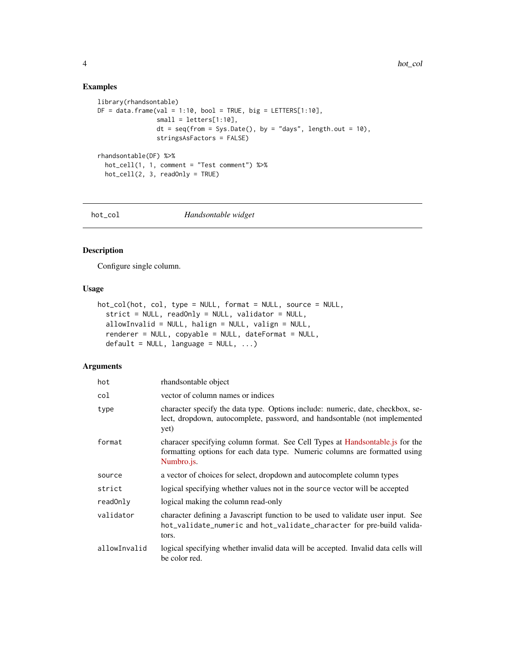## Examples

```
library(rhandsontable)
DF = data. frame(val = 1:10, bool = TRUE, big = LETTERS[1:10],
               small = letters[1:10],dt = seq(from = Sys.Date(), by = "days", length.out = 10),stringsAsFactors = FALSE)
rhandsontable(DF) %>%
  hot_cell(1, 1, comment = "Test comment") %>%
  hot\_cell(2, 3, readOnly = TRUE)
```
<span id="page-3-1"></span>

hot\_col *Handsontable widget*

## Description

Configure single column.

## Usage

```
hot_col(hot, col, type = NULL, format = NULL, source = NULL,
  strict = NULL, readOnly = NULL, validator = NULL,
  allowInvalid = NULL, halign = NULL, valign = NULL,
  renderer = NULL, copyable = NULL, dateFormat = NULL,
  default = NULL, language = NULL, ...)
```
## Arguments

| hot          | rhandsontable object                                                                                                                                                     |
|--------------|--------------------------------------------------------------------------------------------------------------------------------------------------------------------------|
| col          | vector of column names or indices                                                                                                                                        |
| type         | character specify the data type. Options include: numeric, date, checkbox, se-<br>lect, dropdown, autocomplete, password, and handsontable (not implemented<br>yet)      |
| format       | characer specifying column format. See Cell Types at Handsontable.js for the<br>formatting options for each data type. Numeric columns are formatted using<br>Numbro.js. |
| source       | a vector of choices for select, dropdown and autocomplete column types                                                                                                   |
| strict       | logical specifying whether values not in the source vector will be accepted                                                                                              |
| readOnly     | logical making the column read-only                                                                                                                                      |
| validator    | character defining a Javascript function to be used to validate user input. See<br>hot_validate_numeric and hot_validate_character for pre-build valida-<br>tors.        |
| allowInvalid | logical specifying whether invalid data will be accepted. Invalid data cells will<br>be color red.                                                                       |

<span id="page-3-0"></span>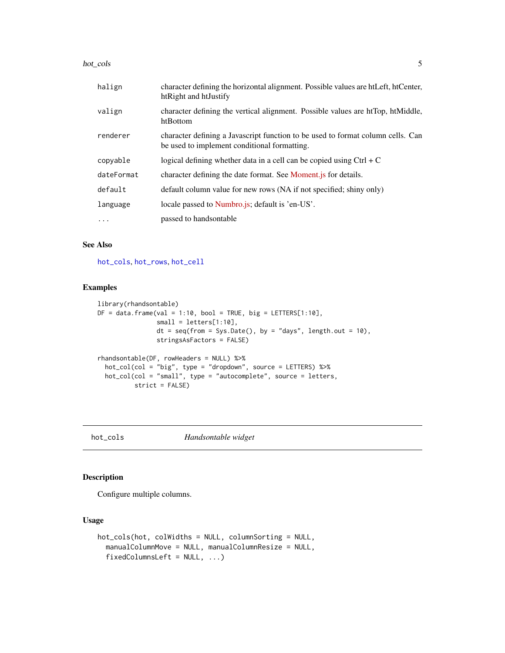<span id="page-4-0"></span>hot\_cols 5

| halign     | character defining the horizontal alignment. Possible values are htLeft, htCenter,<br>ht Right and ht Justify                   |
|------------|---------------------------------------------------------------------------------------------------------------------------------|
| valign     | character defining the vertical alignment. Possible values are htTop, htMiddle,<br>htBottom                                     |
| renderer   | character defining a Javascript function to be used to format column cells. Can<br>be used to implement conditional formatting. |
| copyable   | logical defining whether data in a cell can be copied using $Ctrl + C$                                                          |
| dateFormat | character defining the date format. See Moment is for details.                                                                  |
| default    | default column value for new rows (NA if not specified; shiny only)                                                             |
| language   | locale passed to Numbro.js; default is 'en-US'.                                                                                 |
| $\ddotsc$  | passed to handsontable                                                                                                          |

## See Also

[hot\\_cols](#page-4-1), [hot\\_rows](#page-8-1), [hot\\_cell](#page-2-1)

#### Examples

```
library(rhandsontable)
DF = data. frame(val = 1:10, bool = TRUE, big = LETTERS[1:10],
                small = letters[1:10],
                dt = seq(from = Sys.Date(), by = "days", length.out = 10),stringsAsFactors = FALSE)
rhandsontable(DF, rowHeaders = NULL) %>%
 hot_col(col = "big", type = "dropdown", source = LETTERS) %>%
 hot_col(col = "small", type = "autocomplete", source = letters,
         strict = FALSE)
```
<span id="page-4-1"></span>hot\_cols *Handsontable widget*

## Description

Configure multiple columns.

```
hot_cols(hot, colWidths = NULL, columnSorting = NULL,
 manualColumnMove = NULL, manualColumnResize = NULL,
  fixedColumnsLeft = NULL, ...)
```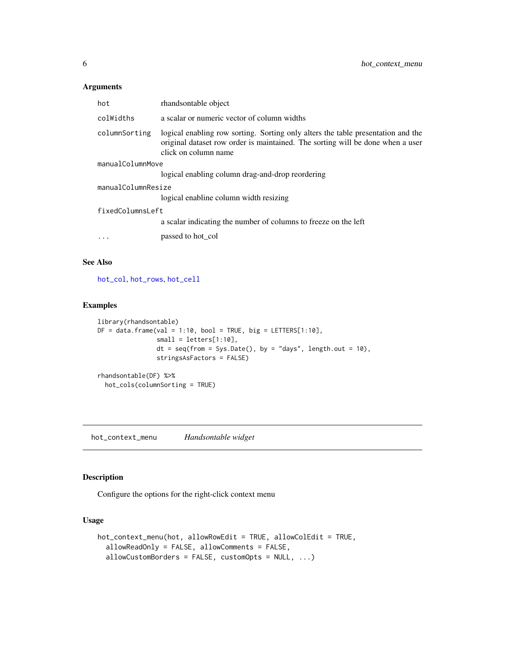## <span id="page-5-0"></span>Arguments

| hot                | rhandsontable object                                                                                                                                                                       |  |
|--------------------|--------------------------------------------------------------------------------------------------------------------------------------------------------------------------------------------|--|
| colWidths          | a scalar or numeric vector of column widths                                                                                                                                                |  |
| columnSorting      | logical enabling row sorting. Sorting only alters the table presentation and the<br>original dataset row order is maintained. The sorting will be done when a user<br>click on column name |  |
| manualColumnMove   |                                                                                                                                                                                            |  |
|                    | logical enabling column drag-and-drop reordering                                                                                                                                           |  |
| manualColumnResize |                                                                                                                                                                                            |  |
|                    | logical enabline column width resizing                                                                                                                                                     |  |
| fixedColumnsLeft   |                                                                                                                                                                                            |  |
|                    | a scalar indicating the number of columns to freeze on the left                                                                                                                            |  |
| $\ddotsc$          | passed to hot col                                                                                                                                                                          |  |
|                    |                                                                                                                                                                                            |  |

## See Also

[hot\\_col](#page-3-1), [hot\\_rows](#page-8-1), [hot\\_cell](#page-2-1)

#### Examples

```
library(rhandsontable)
DF = data. frame(val = 1:10, bool = TRUE, big = LETTERS[1:10],
               small = letters[1:10],dt = seq(from = Sys.Date(), by = "days", length.out = 10),stringsAsFactors = FALSE)
rhandsontable(DF) %>%
  hot_cols(columnSorting = TRUE)
```
hot\_context\_menu *Handsontable widget*

## Description

Configure the options for the right-click context menu

```
hot_context_menu(hot, allowRowEdit = TRUE, allowColEdit = TRUE,
  allowReadOnly = FALSE, allowComments = FALSE,
  allowCustomBorders = FALSE, customOpts = NULL, ...)
```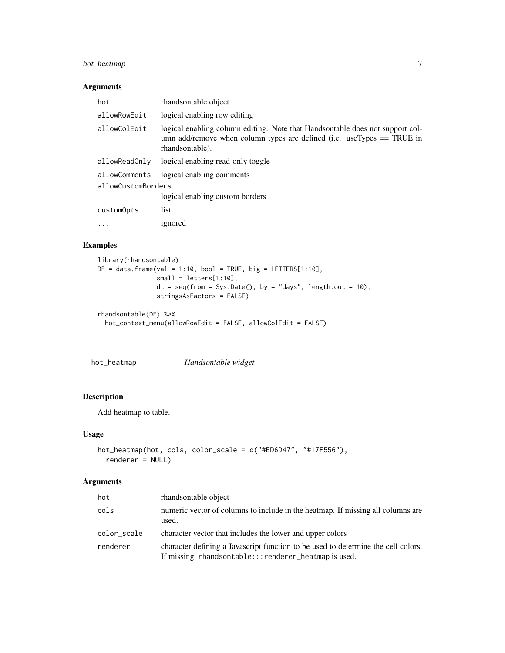## <span id="page-6-0"></span>hot\_heatmap 7

## Arguments

| hot                | rhandsontable object                                                                                                                                                         |
|--------------------|------------------------------------------------------------------------------------------------------------------------------------------------------------------------------|
| allowRowEdit       | logical enabling row editing                                                                                                                                                 |
| allowColEdit       | logical enabling column editing. Note that Handsontable does not support col-<br>umn add/remove when column types are defined (i.e. useTypes $==$ TRUE in<br>rhandsontable). |
| allowReadOnly      | logical enabling read-only toggle                                                                                                                                            |
| allowComments      | logical enabling comments                                                                                                                                                    |
| allowCustomBorders |                                                                                                                                                                              |
|                    | logical enabling custom borders                                                                                                                                              |
| custom0pts         | list                                                                                                                                                                         |
| $\ddotsc$          | ignored                                                                                                                                                                      |

## Examples

```
library(rhandsontable)
DF = data. frame(val = 1:10, bool = TRUE, big = LETTERS[1:10],
                small = letters[1:10],dt = seq(from = Sys.Date(), by = "days", length.out = 10),
                stringsAsFactors = FALSE)
rhandsontable(DF) %>%
  hot_context_menu(allowRowEdit = FALSE, allowColEdit = FALSE)
```
hot\_heatmap *Handsontable widget*

## Description

Add heatmap to table.

#### Usage

```
hot_heatmap(hot, cols, color_scale = c("#ED6D47", "#17F556"),
 renderer = NULL)
```
## Arguments

| hot         | rhandsontable object                                                                                                                       |
|-------------|--------------------------------------------------------------------------------------------------------------------------------------------|
| cols        | numeric vector of columns to include in the heatmap. If missing all columns are<br>used.                                                   |
| color_scale | character vector that includes the lower and upper colors                                                                                  |
| renderer    | character defining a Javascript function to be used to determine the cell colors.<br>If missing, rhandsontable:::renderer_heatmap is used. |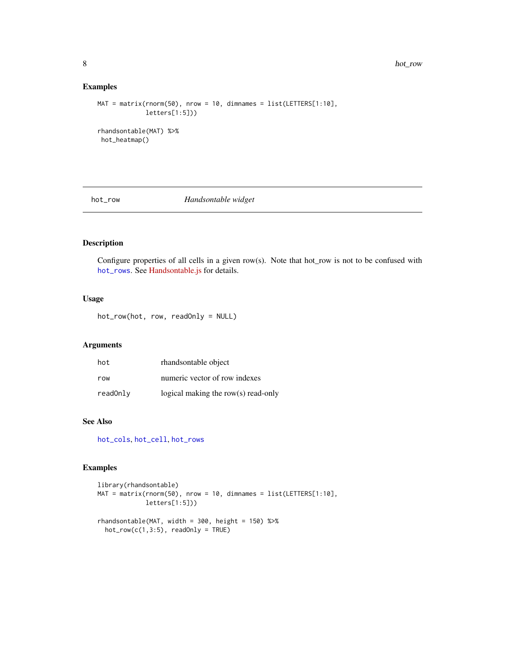## Examples

```
MAT = matrix(rnorm(50), nrow = 10, dimnames = list(LETTERS[1:10],
             letters[1:5]))
rhandsontable(MAT) %>%
 hot_heatmap()
```
<span id="page-7-1"></span>hot\_row *Handsontable widget*

## Description

Configure properties of all cells in a given row(s). Note that hot\_row is not to be confused with [hot\\_rows](#page-8-1). See [Handsontable.js](http://handsontable.com) for details.

## Usage

hot\_row(hot, row, readOnly = NULL)

## Arguments

| hot      | rhandsontable object                |
|----------|-------------------------------------|
| row      | numeric vector of row indexes       |
| readOnly | logical making the row(s) read-only |

## See Also

[hot\\_cols](#page-4-1), [hot\\_cell](#page-2-1), [hot\\_rows](#page-8-1)

## Examples

```
library(rhandsontable)
MAT = matrix(rnorm(50), nrow = 10, dimnames = list(LETTERS[1:10],
             letters[1:5]))
rhandsontable(MAT, width = 300, height = 150) %>%
  hot_{row}(c(1,3:5), readOnly = TRUE)
```
<span id="page-7-0"></span>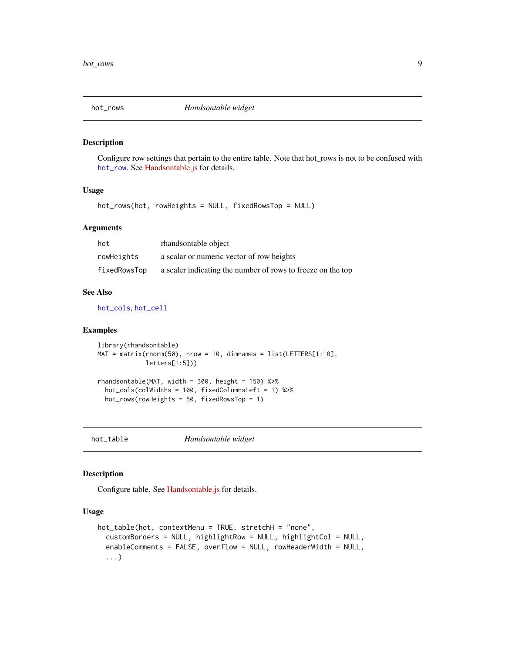<span id="page-8-1"></span><span id="page-8-0"></span>

#### Description

Configure row settings that pertain to the entire table. Note that hot\_rows is not to be confused with [hot\\_row](#page-7-1). See [Handsontable.js](http://handsontable.com) for details.

## Usage

hot\_rows(hot, rowHeights = NULL, fixedRowsTop = NULL)

#### Arguments

| hot          | rhandsontable object                                        |
|--------------|-------------------------------------------------------------|
| rowHeights   | a scalar or numeric vector of row heights                   |
| fixedRowsTop | a scaler indicating the number of rows to freeze on the top |

#### See Also

[hot\\_cols](#page-4-1), [hot\\_cell](#page-2-1)

#### Examples

```
library(rhandsontable)
MAT = matrix(rnorm(50), nrow = 10, dimnames = list(LETTERS[1:10],
             letters[1:5]))
rhandsontable(MAT, width = 300, height = 150) %>%
```

```
hot_cols(colWidths = 100, fixedColumnsLeft = 1) %>%
hot_rows(rowHeights = 50, fixedRowsTop = 1)
```
<span id="page-8-2"></span>hot\_table *Handsontable widget*

#### Description

Configure table. See [Handsontable.js](http://handsontable.com) for details.

```
hot_table(hot, contextMenu = TRUE, stretchH = "none",
  customBorders = NULL, highlightRow = NULL, highlightCol = NULL,
  enableComments = FALSE, overflow = NULL, rowHeaderWidth = NULL,
  ...)
```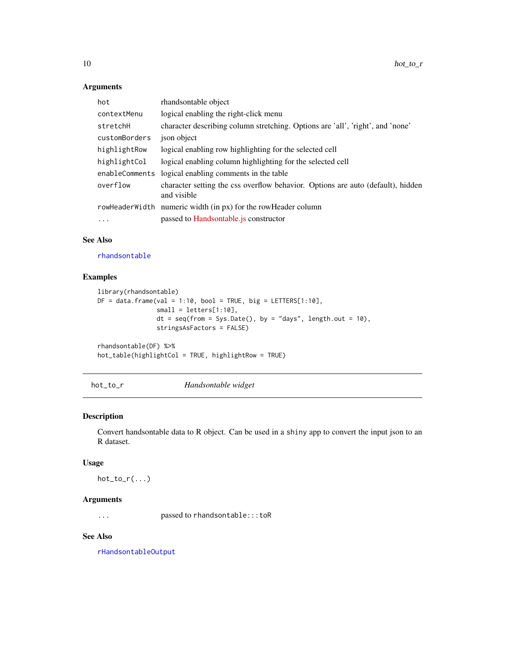## Arguments

| hot            | rhandsontable object                                                                           |
|----------------|------------------------------------------------------------------------------------------------|
| contextMenu    | logical enabling the right-click menu                                                          |
| stretchH       | character describing column stretching. Options are 'all', 'right', and 'none'                 |
| customBorders  | json object                                                                                    |
| highlightRow   | logical enabling row highlighting for the selected cell                                        |
| highlightCol   | logical enabling column highlighting for the selected cell                                     |
| enableComments | logical enabling comments in the table                                                         |
| overflow       | character setting the css overflow behavior. Options are auto (default), hidden<br>and visible |
| rowHeaderWidth | numeric width (in px) for the rowHeader column                                                 |
| $\ddotsc$      | passed to Handsontable is constructor                                                          |

## See Also

[rhandsontable](#page-12-1)

## Examples

```
library(rhandsontable)
DF = data. frame(val = 1:10, bool = TRUE, big = LETTERS[1:10],
               small = letters[1:10],dt = seq(from = Sys.Date(), by = "days", length.out = 10),stringsAsFactors = FALSE)
rhandsontable(DF) %>%
hot_table(highlightCol = TRUE, highlightRow = TRUE)
```
<span id="page-9-1"></span>hot\_to\_r *Handsontable widget*

## Description

Convert handsontable data to R object. Can be used in a shiny app to convert the input json to an R dataset.

#### Usage

 $hot_to_r(...)$ 

## Arguments

... passed to rhandsontable:::toR

## See Also

[rHandsontableOutput](#page-13-1)

<span id="page-9-0"></span>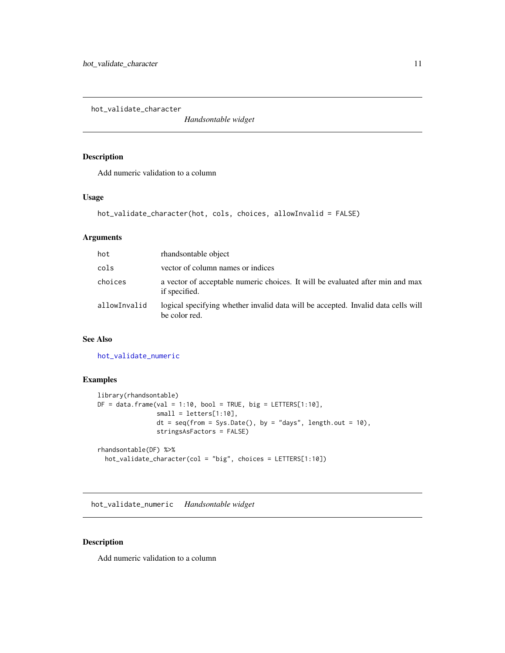<span id="page-10-2"></span><span id="page-10-0"></span>hot\_validate\_character

*Handsontable widget*

## Description

Add numeric validation to a column

#### Usage

```
hot_validate_character(hot, cols, choices, allowInvalid = FALSE)
```
## Arguments

| hot          | rhandsontable object                                                                               |
|--------------|----------------------------------------------------------------------------------------------------|
| cols         | vector of column names or indices                                                                  |
| choices      | a vector of acceptable numeric choices. It will be evaluated after min and max<br>if specified.    |
| allowInvalid | logical specifying whether invalid data will be accepted. Invalid data cells will<br>be color red. |

## See Also

[hot\\_validate\\_numeric](#page-10-1)

## Examples

```
library(rhandsontable)
DF = data. frame(val = 1:10, bool = TRUE, big = LETTERS[1:10],
                small = letters[1:10],
                dt = seq(from = Sys.Date(), by = "days", length.out = 10),stringsAsFactors = FALSE)
rhandsontable(DF) %>%
  hot_validate_character(col = "big", choices = LETTERS[1:10])
```
<span id="page-10-1"></span>hot\_validate\_numeric *Handsontable widget*

## Description

Add numeric validation to a column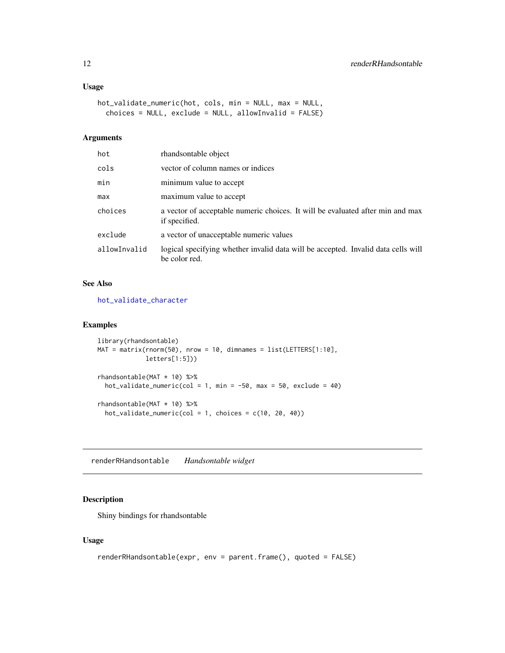#### <span id="page-11-0"></span>Usage

```
hot_validate_numeric(hot, cols, min = NULL, max = NULL,
  choices = NULL, exclude = NULL, allowInvalid = FALSE)
```
## Arguments

| hot          | rhandsontable object                                                                               |
|--------------|----------------------------------------------------------------------------------------------------|
| cols         | vector of column names or indices                                                                  |
| min          | minimum value to accept                                                                            |
| max          | maximum value to accept                                                                            |
| choices      | a vector of acceptable numeric choices. It will be evaluated after min and max<br>if specified.    |
| exclude      | a vector of unacceptable numeric values                                                            |
| allowInvalid | logical specifying whether invalid data will be accepted. Invalid data cells will<br>be color red. |

## See Also

[hot\\_validate\\_character](#page-10-2)

## Examples

```
library(rhandsontable)
MAT = matrix(rnorm(50), nrow = 10, dimnames = list(LETTERS[1:10],letters[1:5]))
rhandsontable(MAT * 10) %>%
  hot_validate_numeric(col = 1, min = -50, max = 50, exclude = 40)
rhandsontable(MAT * 10) %>%
  hot_validate_numeric(col = 1, choices = c(10, 20, 40))
```
<span id="page-11-1"></span>renderRHandsontable *Handsontable widget*

## Description

Shiny bindings for rhandsontable

```
renderRHandsontable(expr, env = parent.frame(), quoted = FALSE)
```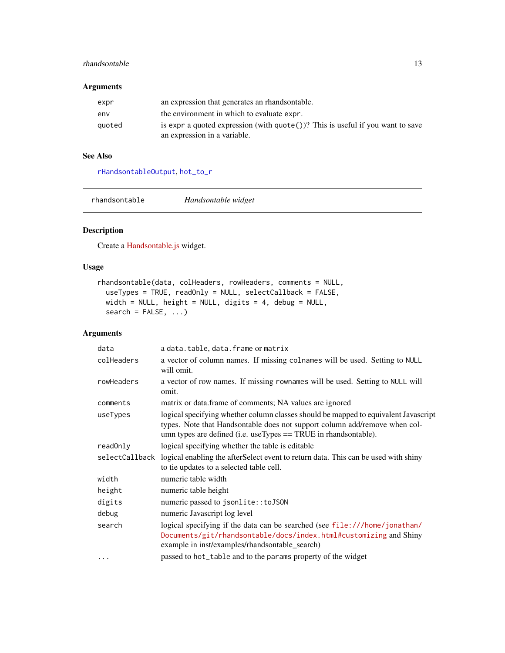## <span id="page-12-0"></span>rhandsontable 13

## Arguments

| expr   | an expression that generates an rhandsontable.                                                                           |
|--------|--------------------------------------------------------------------------------------------------------------------------|
| env    | the environment in which to evaluate expr.                                                                               |
| quoted | is expr a quoted expression (with $\text{quote}()$ )? This is useful if you want to save<br>an expression in a variable. |

## See Also

[rHandsontableOutput](#page-13-1), [hot\\_to\\_r](#page-9-1)

<span id="page-12-1"></span>

| rhandsontable | Handsontable widget |  |
|---------------|---------------------|--|
|---------------|---------------------|--|

## Description

Create a [Handsontable.js](http://handsontable.com) widget.

## Usage

```
rhandsontable(data, colHeaders, rowHeaders, comments = NULL,
 useTypes = TRUE, readOnly = NULL, selectCallback = FALSE,
 width = NULL, height = NULL, digits = 4, debug = NULL,
 search = FALSE, ...)
```
## Arguments

| data       | a data.table, data.frame or matrix                                                                                                                                                                                                   |
|------------|--------------------------------------------------------------------------------------------------------------------------------------------------------------------------------------------------------------------------------------|
| colHeaders | a vector of column names. If missing colnames will be used. Setting to NULL<br>will omit.                                                                                                                                            |
| rowHeaders | a vector of row names. If missing rownames will be used. Setting to NULL will<br>omit.                                                                                                                                               |
| comments   | matrix or data.frame of comments; NA values are ignored                                                                                                                                                                              |
| useTypes   | logical specifying whether column classes should be mapped to equivalent Javascript<br>types. Note that Handsontable does not support column add/remove when col-<br>umn types are defined (i.e. useTypes == TRUE in rhandsontable). |
| readOnly   | logical specifying whether the table is editable                                                                                                                                                                                     |
|            | selectCallback logical enabling the afterSelect event to return data. This can be used with shiny<br>to tie updates to a selected table cell.                                                                                        |
| width      | numeric table width                                                                                                                                                                                                                  |
| height     | numeric table height                                                                                                                                                                                                                 |
| digits     | numeric passed to jsonlite:: to JSON                                                                                                                                                                                                 |
| debug      | numeric Javascript log level                                                                                                                                                                                                         |
| search     | logical specifying if the data can be searched (see file:///home/jonathan/<br>Documents/git/rhandsontable/docs/index.html#customizing and Shiny<br>example in inst/examples/rhandsontable_search)                                    |
|            | passed to hot_table and to the params property of the widget                                                                                                                                                                         |
|            |                                                                                                                                                                                                                                      |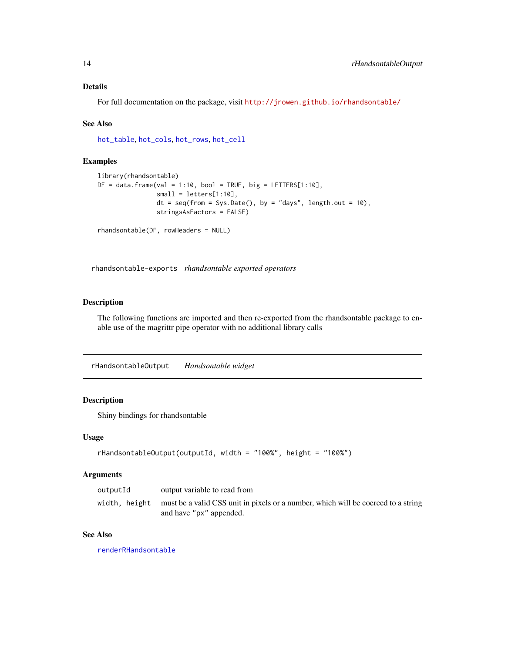#### <span id="page-13-0"></span>Details

For full documentation on the package, visit <http://jrowen.github.io/rhandsontable/>

#### See Also

[hot\\_table](#page-8-2), [hot\\_cols](#page-4-1), [hot\\_rows](#page-8-1), [hot\\_cell](#page-2-1)

#### Examples

```
library(rhandsontable)
DF = data. frame(val = 1:10, bool = TRUE, big = LETTERS[1:10],
                small = letters[1:10],dt = seq(from = Sys.Date(), by = "days", length.out = 10),stringsAsFactors = FALSE)
rhandsontable(DF, rowHeaders = NULL)
```
rhandsontable-exports *rhandsontable exported operators*

#### Description

The following functions are imported and then re-exported from the rhandsontable package to enable use of the magrittr pipe operator with no additional library calls

<span id="page-13-1"></span>rHandsontableOutput *Handsontable widget*

#### Description

Shiny bindings for rhandsontable

#### Usage

```
rHandsontableOutput(outputId, width = "100%", height = "100%")
```
#### Arguments

| outputId      | output variable to read from                                                                                 |
|---------------|--------------------------------------------------------------------------------------------------------------|
| width. height | must be a valid CSS unit in pixels or a number, which will be coerced to a string<br>and have "px" appended. |

## See Also

[renderRHandsontable](#page-11-1)